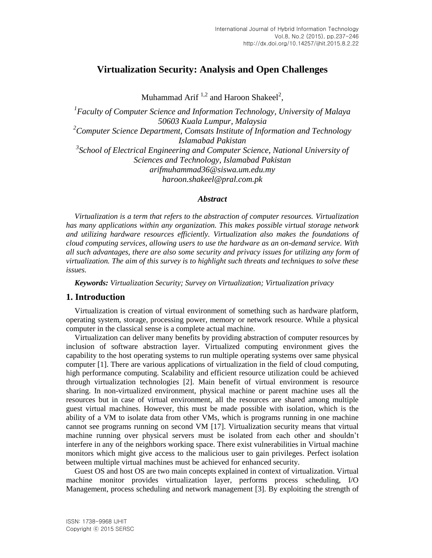# **Virtualization Security: Analysis and Open Challenges**

Muhammad Arif  $1,2$  and Haroon Shakeel<sup>2</sup>,

<sup>1</sup> Faculty of Computer Science and Information Technology, University of Malaya *50603 Kuala Lumpur, Malaysia <sup>2</sup>Computer Science Department, Comsats Institute of Information and Technology Islamabad Pakistan* <sup>3</sup> School of Electrical Engineering and Computer Science, National University of *Sciences and Technology, Islamabad Pakistan [arifmuhammad36@siswa.um.edu.my](mailto:arifmuhammad36@siswa.um.edu.my) [haroon.shakeel@pral.com.pk](mailto:haroon.shakeel@pral.com.pk)*

#### *Abstract*

*Virtualization is a term that refers to the abstraction of computer resources. Virtualization has many applications within any organization. This makes possible virtual storage network and utilizing hardware resources efficiently. Virtualization also makes the foundations of cloud computing services, allowing users to use the hardware as an on-demand service. With all such advantages, there are also some security and privacy issues for utilizing any form of virtualization. The aim of this survey is to highlight such threats and techniques to solve these issues.*

*Keywords: Virtualization Security; Survey on Virtualization; Virtualization privacy* 

#### **1. Introduction**

Virtualization is creation of virtual environment of something such as hardware platform, operating system, storage, processing power, memory or network resource. While a physical computer in the classical sense is a complete actual machine.

Virtualization can deliver many benefits by providing abstraction of computer resources by inclusion of software abstraction layer. Virtualized computing environment gives the capability to the host operating systems to run multiple operating systems over same physical computer [1]. There are various applications of virtualization in the field of cloud computing, high performance computing. Scalability and efficient resource utilization could be achieved through virtualization technologies [2]. Main benefit of virtual environment is resource sharing. In non-virtualized environment, physical machine or parent machine uses all the resources but in case of virtual environment, all the resources are shared among multiple guest virtual machines. However, this must be made possible with isolation, which is the ability of a VM to isolate data from other VMs, which is programs running in one machine cannot see programs running on second VM [17]. Virtualization security means that virtual machine running over physical servers must be isolated from each other and shouldn't interfere in any of the neighbors working space. There exist vulnerabilities in Virtual machine monitors which might give access to the malicious user to gain privileges. Perfect isolation between multiple virtual machines must be achieved for enhanced security.

Guest OS and host OS are two main concepts explained in context of virtualization. Virtual machine monitor provides virtualization layer, performs process scheduling, I/O Management, process scheduling and network management [3]. By exploiting the strength of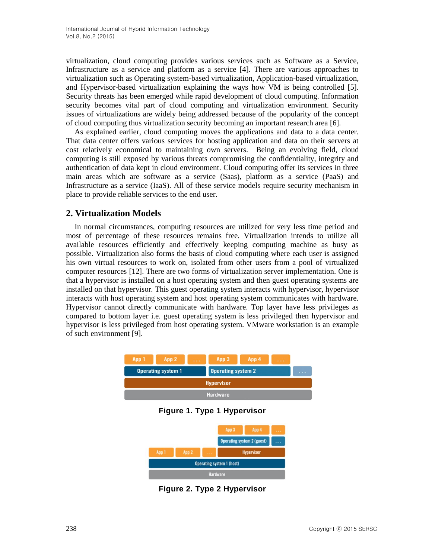virtualization, cloud computing provides various services such as Software as a Service, Infrastructure as a service and platform as a service [4]. There are various approaches to virtualization such as Operating system-based virtualization, Application-based virtualization, and Hypervisor-based virtualization explaining the ways how VM is being controlled [5]. Security threats has been emerged while rapid development of cloud computing. Information security becomes vital part of cloud computing and virtualization environment. Security issues of virtualizations are widely being addressed because of the popularity of the concept of cloud computing thus virtualization security becoming an important research area [6].

As explained earlier, cloud computing moves the applications and data to a data center. That data center offers various services for hosting application and data on their servers at cost relatively economical to maintaining own servers. Being an evolving field, cloud computing is still exposed by various threats compromising the confidentiality, integrity and authentication of data kept in cloud environment. Cloud computing offer its services in three main areas which are software as a service (Saas), platform as a service (PaaS) and Infrastructure as a service (IaaS). All of these service models require security mechanism in place to provide reliable services to the end user.

# **2. Virtualization Models**

In normal circumstances, computing resources are utilized for very less time period and most of percentage of these resources remains free. Virtualization intends to utilize all available resources efficiently and effectively keeping computing machine as busy as possible. Virtualization also forms the basis of cloud computing where each user is assigned his own virtual resources to work on, isolated from other users from a pool of virtualized computer resources [12]. There are two forms of virtualization server implementation. One is that a hypervisor is installed on a host operating system and then guest operating systems are installed on that hypervisor. This guest operating system interacts with hypervisor, hypervisor interacts with host operating system and host operating system communicates with hardware. Hypervisor cannot directly communicate with hardware. Top layer have less privileges as compared to bottom layer i.e. guest operating system is less privileged then hypervisor and hypervisor is less privileged from host operating system. VMware workstation is an example of such environment [9].



**Figure 1. Type 1 Hypervisor**



**Figure 2. Type 2 Hypervisor**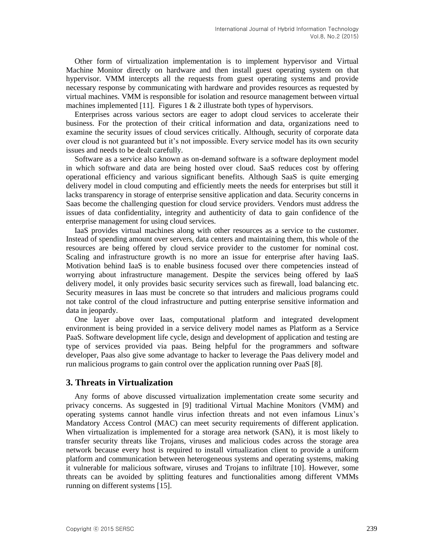Other form of virtualization implementation is to implement hypervisor and Virtual Machine Monitor directly on hardware and then install guest operating system on that hypervisor. VMM intercepts all the requests from guest operating systems and provide necessary response by communicating with hardware and provides resources as requested by virtual machines. VMM is responsible for isolation and resource management between virtual machines implemented [11]. Figures  $1 \& 2$  illustrate both types of hypervisors.

Enterprises across various sectors are eager to adopt cloud services to accelerate their business. For the protection of their critical information and data, organizations need to examine the security issues of cloud services critically. Although, security of corporate data over cloud is not guaranteed but it's not impossible. Every service model has its own security issues and needs to be dealt carefully.

Software as a service also known as on-demand software is a software deployment model in which software and data are being hosted over cloud. SaaS reduces cost by offering operational efficiency and various significant benefits. Although SaaS is quite emerging delivery model in cloud computing and efficiently meets the needs for enterprises but still it lacks transparency in storage of enterprise sensitive application and data. Security concerns in Saas become the challenging question for cloud service providers. Vendors must address the issues of data confidentiality, integrity and authenticity of data to gain confidence of the enterprise management for using cloud services.

IaaS provides virtual machines along with other resources as a service to the customer. Instead of spending amount over servers, data centers and maintaining them, this whole of the resources are being offered by cloud service provider to the customer for nominal cost. Scaling and infrastructure growth is no more an issue for enterprise after having IaaS. Motivation behind IaaS is to enable business focused over there competencies instead of worrying about infrastructure management. Despite the services being offered by IaaS delivery model, it only provides basic security services such as firewall, load balancing etc. Security measures in Iaas must be concrete so that intruders and malicious programs could not take control of the cloud infrastructure and putting enterprise sensitive information and data in jeopardy.

One layer above over Iaas, computational platform and integrated development environment is being provided in a service delivery model names as Platform as a Service PaaS. Software development life cycle, design and development of application and testing are type of services provided via paas. Being helpful for the programmers and software developer, Paas also give some advantage to hacker to leverage the Paas delivery model and run malicious programs to gain control over the application running over PaaS [8].

### **3. Threats in Virtualization**

Any forms of above discussed virtualization implementation create some security and privacy concerns. As suggested in [9] traditional Virtual Machine Monitors (VMM) and operating systems cannot handle virus infection threats and not even infamous Linux's Mandatory Access Control (MAC) can meet security requirements of different application. When virtualization is implemented for a storage area network (SAN), it is most likely to transfer security threats like Trojans, viruses and malicious codes across the storage area network because every host is required to install virtualization client to provide a uniform platform and communication between heterogeneous systems and operating systems, making it vulnerable for malicious software, viruses and Trojans to infiltrate [10]. However, some threats can be avoided by splitting features and functionalities among different VMMs running on different systems [15].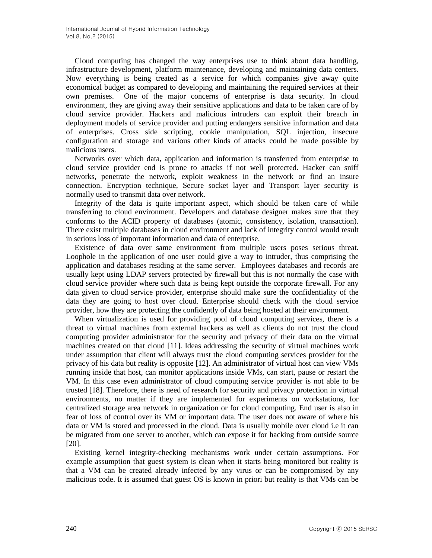Cloud computing has changed the way enterprises use to think about data handling, infrastructure development, platform maintenance, developing and maintaining data centers. Now everything is being treated as a service for which companies give away quite economical budget as compared to developing and maintaining the required services at their own premises. One of the major concerns of enterprise is data security. In cloud environment, they are giving away their sensitive applications and data to be taken care of by cloud service provider. Hackers and malicious intruders can exploit their breach in deployment models of service provider and putting endangers sensitive information and data of enterprises. Cross side scripting, cookie manipulation, SQL injection, insecure configuration and storage and various other kinds of attacks could be made possible by malicious users.

Networks over which data, application and information is transferred from enterprise to cloud service provider end is prone to attacks if not well protected. Hacker can sniff networks, penetrate the network, exploit weakness in the network or find an insure connection. Encryption technique, Secure socket layer and Transport layer security is normally used to transmit data over network.

Integrity of the data is quite important aspect, which should be taken care of while transferring to cloud environment. Developers and database designer makes sure that they conforms to the ACID property of databases (atomic, consistency, isolation, transaction). There exist multiple databases in cloud environment and lack of integrity control would result in serious loss of important information and data of enterprise.

Existence of data over same environment from multiple users poses serious threat. Loophole in the application of one user could give a way to intruder, thus comprising the application and databases residing at the same server. Employees databases and records are usually kept using LDAP servers protected by firewall but this is not normally the case with cloud service provider where such data is being kept outside the corporate firewall. For any data given to cloud service provider, enterprise should make sure the confidentiality of the data they are going to host over cloud. Enterprise should check with the cloud service provider, how they are protecting the confidently of data being hosted at their environment.

When virtualization is used for providing pool of cloud computing services, there is a threat to virtual machines from external hackers as well as clients do not trust the cloud computing provider administrator for the security and privacy of their data on the virtual machines created on that cloud [11]. Ideas addressing the security of virtual machines work under assumption that client will always trust the cloud computing services provider for the privacy of his data but reality is opposite [12]. An administrator of virtual host can view VMs running inside that host, can monitor applications inside VMs, can start, pause or restart the VM. In this case even administrator of cloud computing service provider is not able to be trusted [18]. Therefore, there is need of research for security and privacy protection in virtual environments, no matter if they are implemented for experiments on workstations, for centralized storage area network in organization or for cloud computing. End user is also in fear of loss of control over its VM or important data. The user does not aware of where his data or VM is stored and processed in the cloud. Data is usually mobile over cloud i.e it can be migrated from one server to another, which can expose it for hacking from outside source [20].

Existing kernel integrity-checking mechanisms work under certain assumptions. For example assumption that guest system is clean when it starts being monitored but reality is that a VM can be created already infected by any virus or can be compromised by any malicious code. It is assumed that guest OS is known in priori but reality is that VMs can be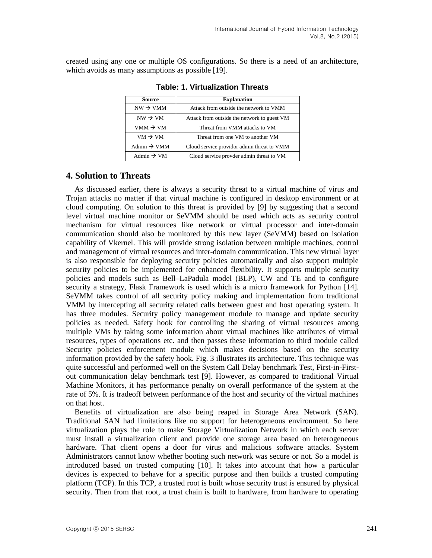created using any one or multiple OS configurations. So there is a need of an architecture, which avoids as many assumptions as possible [19].

| Source                  | <b>Explanation</b>                                                                                                                                             |  |
|-------------------------|----------------------------------------------------------------------------------------------------------------------------------------------------------------|--|
| $NW \rightarrow VMM$    | Attack from outside the network to VMM                                                                                                                         |  |
| $NW \rightarrow VM$     | Attack from outside the network to guest VM<br>Threat from VMM attacks to VM<br>Threat from one VM to another VM<br>Cloud service providor admin threat to VMM |  |
| $VMM \rightarrow VM$    |                                                                                                                                                                |  |
| $VM \rightarrow VM$     |                                                                                                                                                                |  |
| Admin $\rightarrow$ VMM |                                                                                                                                                                |  |
| Admin $\rightarrow$ VM  | Cloud service provder admin threat to VM                                                                                                                       |  |

**Table: 1. Virtualization Threats**

# **4. Solution to Threats**

As discussed earlier, there is always a security threat to a virtual machine of virus and Trojan attacks no matter if that virtual machine is configured in desktop environment or at cloud computing. On solution to this threat is provided by [9] by suggesting that a second level virtual machine monitor or SeVMM should be used which acts as security control mechanism for virtual resources like network or virtual processor and inter-domain communication should also be monitored by this new layer (SeVMM) based on isolation capability of Vkernel. This will provide strong isolation between multiple machines, control and management of virtual resources and inter-domain communication. This new virtual layer is also responsible for deploying security policies automatically and also support multiple security policies to be implemented for enhanced flexibility. It supports multiple security policies and models such as Bell–LaPadula model (BLP), CW and TE and to configure security a strategy, Flask Framework is used which is a micro framework for Python [14]. SeVMM takes control of all security policy making and implementation from traditional VMM by intercepting all security related calls between guest and host operating system. It has three modules. Security policy management module to manage and update security policies as needed. Safety hook for controlling the sharing of virtual resources among multiple VMs by taking some information about virtual machines like attributes of virtual resources, types of operations etc. and then passes these information to third module called Security policies enforcement module which makes decisions based on the security information provided by the safety hook. Fig. 3 illustrates its architecture. This technique was quite successful and performed well on the System Call Delay benchmark Test, First-in-Firstout communication delay benchmark test [9]. However, as compared to traditional Virtual Machine Monitors, it has performance penalty on overall performance of the system at the rate of 5%. It is tradeoff between performance of the host and security of the virtual machines on that host.

Benefits of virtualization are also being reaped in Storage Area Network (SAN). Traditional SAN had limitations like no support for heterogeneous environment. So here virtualization plays the role to make Storage Virtualization Network in which each server must install a virtualization client and provide one storage area based on heterogeneous hardware. That client opens a door for virus and malicious software attacks. System Administrators cannot know whether booting such network was secure or not. So a model is introduced based on trusted computing [10]. It takes into account that how a particular devices is expected to behave for a specific purpose and then builds a trusted computing platform (TCP). In this TCP, a trusted root is built whose security trust is ensured by physical security. Then from that root, a trust chain is built to hardware, from hardware to operating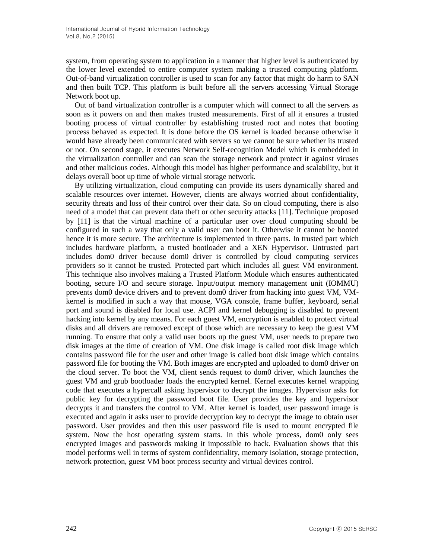system, from operating system to application in a manner that higher level is authenticated by the lower level extended to entire computer system making a trusted computing platform. Out-of-band virtualization controller is used to scan for any factor that might do harm to SAN and then built TCP. This platform is built before all the servers accessing Virtual Storage Network boot up.

Out of band virtualization controller is a computer which will connect to all the servers as soon as it powers on and then makes trusted measurements. First of all it ensures a trusted booting process of virtual controller by establishing trusted root and notes that booting process behaved as expected. It is done before the OS kernel is loaded because otherwise it would have already been communicated with servers so we cannot be sure whether its trusted or not. On second stage, it executes Network Self-recognition Model which is embedded in the virtualization controller and can scan the storage network and protect it against viruses and other malicious codes. Although this model has higher performance and scalability, but it delays overall boot up time of whole virtual storage network.

By utilizing virtualization, cloud computing can provide its users dynamically shared and scalable resources over internet. However, clients are always worried about confidentiality, security threats and loss of their control over their data. So on cloud computing, there is also need of a model that can prevent data theft or other security attacks [11]. Technique proposed by [11] is that the virtual machine of a particular user over cloud computing should be configured in such a way that only a valid user can boot it. Otherwise it cannot be booted hence it is more secure. The architecture is implemented in three parts. In trusted part which includes hardware platform, a trusted bootloader and a XEN Hypervisor. Untrusted part includes dom0 driver because dom0 driver is controlled by cloud computing services providers so it cannot be trusted. Protected part which includes all guest VM environment. This technique also involves making a Trusted Platform Module which ensures authenticated booting, secure I/O and secure storage. Input/output memory management unit (IOMMU) prevents dom0 device drivers and to prevent dom0 driver from hacking into guest VM, VMkernel is modified in such a way that mouse, VGA console, frame buffer, keyboard, serial port and sound is disabled for local use. ACPI and kernel debugging is disabled to prevent hacking into kernel by any means. For each guest VM, encryption is enabled to protect virtual disks and all drivers are removed except of those which are necessary to keep the guest VM running. To ensure that only a valid user boots up the guest VM, user needs to prepare two disk images at the time of creation of VM. One disk image is called root disk image which contains password file for the user and other image is called boot disk image which contains password file for booting the VM. Both images are encrypted and uploaded to dom0 driver on the cloud server. To boot the VM, client sends request to dom0 driver, which launches the guest VM and grub bootloader loads the encrypted kernel. Kernel executes kernel wrapping code that executes a hypercall asking hypervisor to decrypt the images. Hypervisor asks for public key for decrypting the password boot file. User provides the key and hypervisor decrypts it and transfers the control to VM. After kernel is loaded, user password image is executed and again it asks user to provide decryption key to decrypt the image to obtain user password. User provides and then this user password file is used to mount encrypted file system. Now the host operating system starts. In this whole process, dom0 only sees encrypted images and passwords making it impossible to hack. Evaluation shows that this model performs well in terms of system confidentiality, memory isolation, storage protection, network protection, guest VM boot process security and virtual devices control.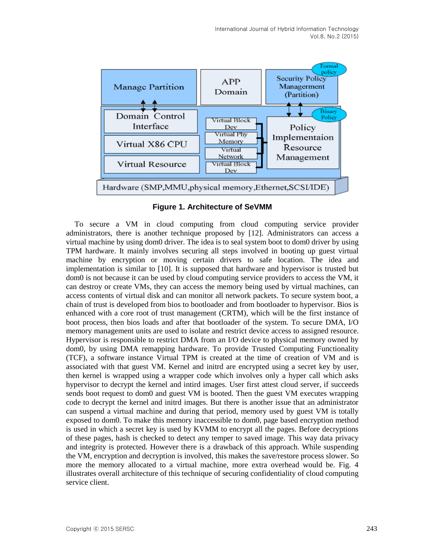

**Figure 1. Architecture of SeVMM**

To secure a VM in cloud computing from cloud computing service provider administrators, there is another technique proposed by [12]. Administrators can access a virtual machine by using dom0 driver. The idea is to seal system boot to dom0 driver by using TPM hardware. It mainly involves securing all steps involved in booting up guest virtual machine by encryption or moving certain drivers to safe location. The idea and implementation is similar to [10]. It is supposed that hardware and hypervisor is trusted but dom0 is not because it can be used by cloud computing service providers to access the VM, it can destroy or create VMs, they can access the memory being used by virtual machines, can access contents of virtual disk and can monitor all network packets. To secure system boot, a chain of trust is developed from bios to bootloader and from bootloader to hypervisor. Bios is enhanced with a core root of trust management (CRTM), which will be the first instance of boot process, then bios loads and after that bootloader of the system. To secure DMA, I/O memory management units are used to isolate and restrict device access to assigned resource. Hypervisor is responsible to restrict DMA from an I/O device to physical memory owned by dom0, by using DMA remapping hardware. To provide Trusted Computing Functionality (TCF), a software instance Virtual TPM is created at the time of creation of VM and is associated with that guest VM. Kernel and initrd are encrypted using a secret key by user, then kernel is wrapped using a wrapper code which involves only a hyper call which asks hypervisor to decrypt the kernel and intird images. User first attest cloud server, if succeeds sends boot request to dom0 and guest VM is booted. Then the guest VM executes wrapping code to decrypt the kernel and initrd images. But there is another issue that an administrator can suspend a virtual machine and during that period, memory used by guest VM is totally exposed to dom0. To make this memory inaccessible to dom0, page based encryption method is used in which a secret key is used by KVMM to encrypt all the pages. Before decryptions of these pages, hash is checked to detect any temper to saved image. This way data privacy and integrity is protected. However there is a drawback of this approach. While suspending the VM, encryption and decryption is involved, this makes the save/restore process slower. So more the memory allocated to a virtual machine, more extra overhead would be. Fig. 4 illustrates overall architecture of this technique of securing confidentiality of cloud computing service client.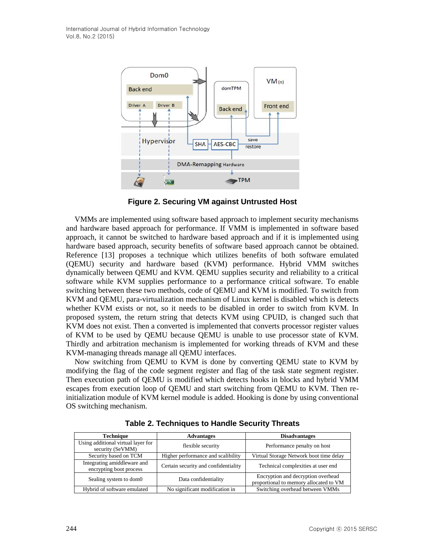

**Figure 2. Securing VM against Untrusted Host**

VMMs are implemented using software based approach to implement security mechanisms and hardware based approach for performance. If VMM is implemented in software based approach, it cannot be switched to hardware based approach and if it is implemented using hardware based approach, security benefits of software based approach cannot be obtained. Reference [13] proposes a technique which utilizes benefits of both software emulated (QEMU) security and hardware based (KVM) performance. Hybrid VMM switches dynamically between QEMU and KVM. QEMU supplies security and reliability to a critical software while KVM supplies performance to a performance critical software. To enable switching between these two methods, code of QEMU and KVM is modified. To switch from KVM and QEMU, para-virtualization mechanism of Linux kernel is disabled which is detects whether KVM exists or not, so it needs to be disabled in order to switch from KVM. In proposed system, the return string that detects KVM using CPUID, is changed such that KVM does not exist. Then a converted is implemented that converts processor register values of KVM to be used by QEMU because QEMU is unable to use processor state of KVM. Thirdly and arbitration mechanism is implemented for working threads of KVM and these KVM-managing threads manage all QEMU interfaces.

Now switching from QEMU to KVM is done by converting QEMU state to KVM by modifying the flag of the code segment register and flag of the task state segment register. Then execution path of QEMU is modified which detects hooks in blocks and hybrid VMM escapes from execution loop of QEMU and start switching from QEMU to KVM. Then reinitialization module of KVM kernel module is added. Hooking is done by using conventional OS switching mechanism.

| <b>Technique</b>                                       | <b>Advantages</b>                    | <b>Disadvantages</b>                                                         |
|--------------------------------------------------------|--------------------------------------|------------------------------------------------------------------------------|
| Using additional virtual layer for<br>security (SeVMM) | flexible security                    | Performance penalty on host                                                  |
| Security based on TCM                                  | Higher performance and scalibility   | Virtual Storage Network boot time delay                                      |
| Integrating amiddleware and<br>encrypting boot process | Certain security and confidentiality | Technical complexities at user end                                           |
| Sealing system to dom0                                 | Data confidentiality                 | Encryption and decryption overhead<br>proportional to memory allocated to VM |
| Hybrid of software emulated                            | No significant modification in       | Switching overhead between VMMs                                              |

**Table 2. Techniques to Handle Security Threats**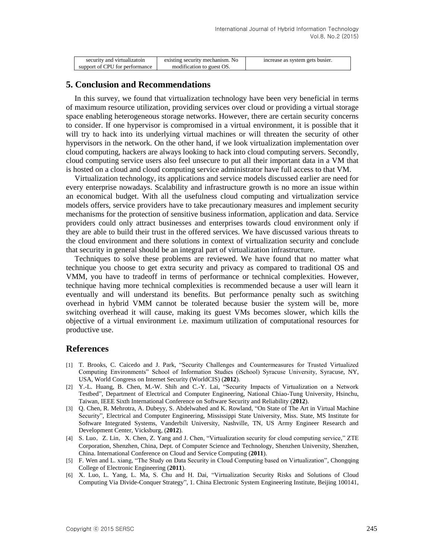| security and virtualizatoin    | existing security mechanism. No | increase as system gets busier. |
|--------------------------------|---------------------------------|---------------------------------|
| support of CPU for performance | modification to guest OS.       |                                 |

#### **5. Conclusion and Recommendations**

In this survey, we found that virtualization technology have been very beneficial in terms of maximum resource utilization, providing services over cloud or providing a virtual storage space enabling heterogeneous storage networks. However, there are certain security concerns to consider. If one hypervisor is compromised in a virtual environment, it is possible that it will try to hack into its underlying virtual machines or will threaten the security of other hypervisors in the network. On the other hand, if we look virtualization implementation over cloud computing, hackers are always looking to hack into cloud computing servers. Secondly, cloud computing service users also feel unsecure to put all their important data in a VM that is hosted on a cloud and cloud computing service administrator have full access to that VM.

Virtualization technology, its applications and service models discussed earlier are need for every enterprise nowadays. Scalability and infrastructure growth is no more an issue within an economical budget. With all the usefulness cloud computing and virtualization service models offers, service providers have to take precautionary measures and implement security mechanisms for the protection of sensitive business information, application and data. Service providers could only attract businesses and enterprises towards cloud environment only if they are able to build their trust in the offered services. We have discussed various threats to the cloud environment and there solutions in context of virtualization security and conclude that security in general should be an integral part of virtualization infrastructure.

Techniques to solve these problems are reviewed. We have found that no matter what technique you choose to get extra security and privacy as compared to traditional OS and VMM, you have to tradeoff in terms of performance or technical complexities. However, technique having more technical complexities is recommended because a user will learn it eventually and will understand its benefits. But performance penalty such as switching overhead in hybrid VMM cannot be tolerated because busier the system will be, more switching overhead it will cause, making its guest VMs becomes slower, which kills the objective of a virtual environment i.e. maximum utilization of computational resources for productive use.

### **References**

- [1] T. Brooks, C. Caicedo and J. Park, "Security Challenges and Countermeasures for Trusted Virtualized Computing Environments" School of Information Studies (iSchool) Syracuse University, Syracuse, NY, USA, World Congress on Internet Security (WorldCIS) (**2012**).
- [2] Y.-L. Huang, B. Chen, M.-W. Shih and C.-Y. Lai, "Security Impacts of Virtualization on a Network Testbed", Department of Electrical and Computer Engineering, National Chiao-Tung University, Hsinchu, Taiwan, IEEE Sixth International Conference on Software Security and Reliability (**2012**).
- [3] Q. Chen, R. Mehrotra, A. Dubeyy, S. Abdelwahed and K. Rowland, "On State of The Art in Virtual Machine Security", Electrical and Computer Engineering, Mississippi State University, Miss. State, MS Institute for Software Integrated Systems, Vanderbilt University, Nashville, TN, US Army Engineer Research and Development Center, Vicksburg, (**2012**).
- [4] S. Luo, Z. Lin, X. Chen, Z. Yang and J. Chen, "Virtualization security for cloud computing service," ZTE Corporation, Shenzhen, China, Dept. of Computer Science and Technology, Shenzhen University, Shenzhen, China. International Conference on Cloud and Service Computing (**2011**).
- [5] F. Wen and L. xiang, "The Study on Data Security in Cloud Computing based on Virtualization", Chongqing College of Electronic Engineering (**2011**).
- [6] X. Luo, L. Yang, L. Ma, S. Chu and H. Dai, "Virtualization Security Risks and Solutions of Cloud Computing Via Divide-Conquer Strategy", 1. China Electronic System Engineering Institute, Beijing 100141,